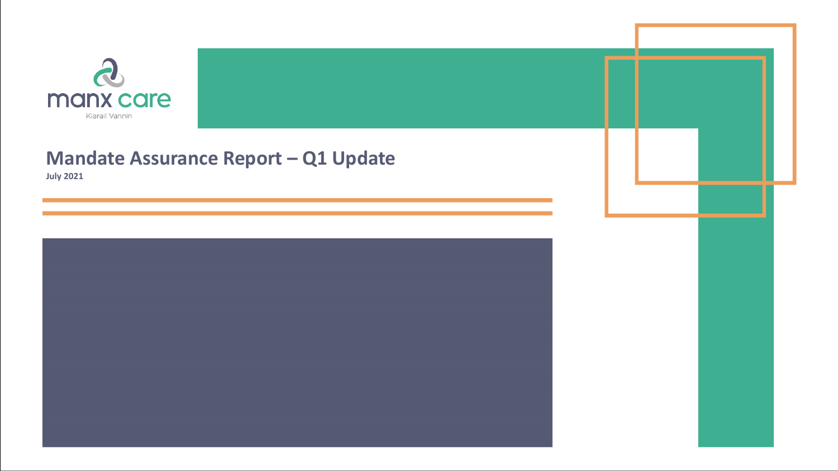

## **Mandate Assurance Report – Q1 Update July 2021**

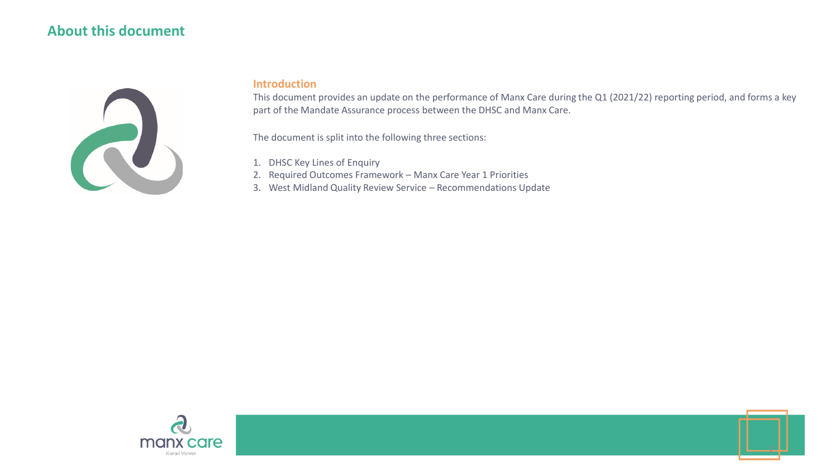### **About this document**



#### **Introduction**

This document provides an update on the performance of Manx Care during the Q1 (2021/22) reporting period, and forms a key part of the Mandate Assurance process between the DHSC and Manx Care.

The document is split into the following three sections:

- 1. DHSC Key Lines of Enquiry
- 2. Required Outcomes Framework Manx Care Year 1 Priorities
- 3. West Midland Quality Review Service Recommendations Update

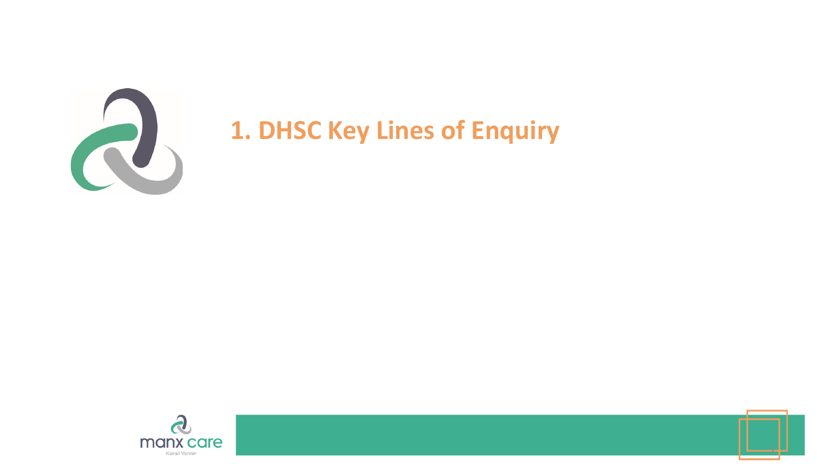

# **1. DHSC Key Lines of Enquiry**



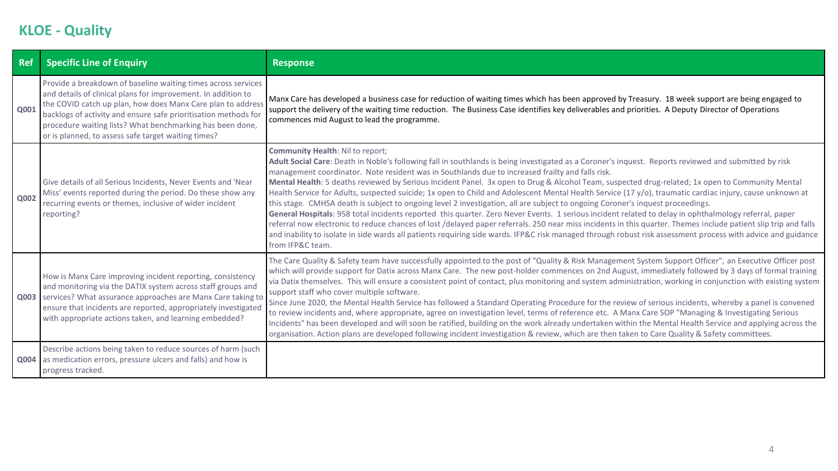# **KLOE - Quality**

| <b>Ref</b>  | <b>Specific Line of Enquiry</b>                                                                                                                                                                                                                                                                                                                                                      | <b>Response</b>                                                                                                                                                                                                                                                                                                                                                                                                                                                                                                                                                                                                                                                                                                                                                                                                                                                                                                                                                                                                                                                                                                                                                                                                                                                       |
|-------------|--------------------------------------------------------------------------------------------------------------------------------------------------------------------------------------------------------------------------------------------------------------------------------------------------------------------------------------------------------------------------------------|-----------------------------------------------------------------------------------------------------------------------------------------------------------------------------------------------------------------------------------------------------------------------------------------------------------------------------------------------------------------------------------------------------------------------------------------------------------------------------------------------------------------------------------------------------------------------------------------------------------------------------------------------------------------------------------------------------------------------------------------------------------------------------------------------------------------------------------------------------------------------------------------------------------------------------------------------------------------------------------------------------------------------------------------------------------------------------------------------------------------------------------------------------------------------------------------------------------------------------------------------------------------------|
| Q001        | Provide a breakdown of baseline waiting times across services<br>and details of clinical plans for improvement. In addition to<br>the COVID catch up plan, how does Manx Care plan to address<br>backlogs of activity and ensure safe prioritisation methods for<br>procedure waiting lists? What benchmarking has been done,<br>or is planned, to assess safe target waiting times? | Manx Care has developed a business case for reduction of waiting times which has been approved by Treasury. 18 week support are being engaged to<br>support the delivery of the waiting time reduction. The Business Case identifies key deliverables and priorities. A Deputy Director of Operations<br>commences mid August to lead the programme.                                                                                                                                                                                                                                                                                                                                                                                                                                                                                                                                                                                                                                                                                                                                                                                                                                                                                                                  |
| <b>Q002</b> | Give details of all Serious Incidents, Never Events and 'Near<br>Miss' events reported during the period. Do these show any<br>recurring events or themes, inclusive of wider incident<br>reporting?                                                                                                                                                                                 | <b>Community Health: Nil to report;</b><br>Adult Social Care: Death in Noble's following fall in southlands is being investigated as a Coroner's inquest. Reports reviewed and submitted by risk<br>management coordinator. Note resident was in Southlands due to increased frailty and falls risk.<br>Mental Health: 5 deaths reviewed by Serious Incident Panel. 3x open to Drug & Alcohol Team, suspected drug-related; 1x open to Community Mental<br>Health Service for Adults, suspected suicide; 1x open to Child and Adolescent Mental Health Service (17 y/o), traumatic cardiac injury, cause unknown at<br>this stage. CMHSA death is subject to ongoing level 2 investigation, all are subject to ongoing Coroner's inquest proceedings.<br>General Hospitals: 958 total incidents reported this quarter. Zero Never Events. 1 serious incident related to delay in ophthalmology referral, paper<br>referral now electronic to reduce chances of lost /delayed paper referrals. 250 near miss incidents in this quarter. Themes include patient slip trip and falls<br>and inability to isolate in side wards all patients requiring side wards. IFP&C risk managed through robust risk assessment process with advice and guidance<br>from IFP&C team. |
| Q003        | How is Manx Care improving incident reporting, consistency<br>and monitoring via the DATIX system across staff groups and<br>services? What assurance approaches are Manx Care taking to<br>ensure that incidents are reported, appropriately investigated<br>with appropriate actions taken, and learning embedded?                                                                 | The Care Quality & Safety team have successfully appointed to the post of "Quality & Risk Management System Support Officer", an Executive Officer post<br>which will provide support for Datix across Manx Care. The new post-holder commences on 2nd August, immediately followed by 3 days of formal training<br>via Datix themselves. This will ensure a consistent point of contact, plus monitoring and system administration, working in conjunction with existing system<br>support staff who cover multiple software.<br>Since June 2020, the Mental Health Service has followed a Standard Operating Procedure for the review of serious incidents, whereby a panel is convened<br>to review incidents and, where appropriate, agree on investigation level, terms of reference etc. A Manx Care SOP "Managing & Investigating Serious<br>Incidents" has been developed and will soon be ratified, building on the work already undertaken within the Mental Health Service and applying across the<br>organisation. Action plans are developed following incident investigation & review, which are then taken to Care Quality & Safety committees.                                                                                                        |
|             | Describe actions being taken to reduce sources of harm (such<br><b>Q004</b> as medication errors, pressure ulcers and falls) and how is<br>progress tracked.                                                                                                                                                                                                                         |                                                                                                                                                                                                                                                                                                                                                                                                                                                                                                                                                                                                                                                                                                                                                                                                                                                                                                                                                                                                                                                                                                                                                                                                                                                                       |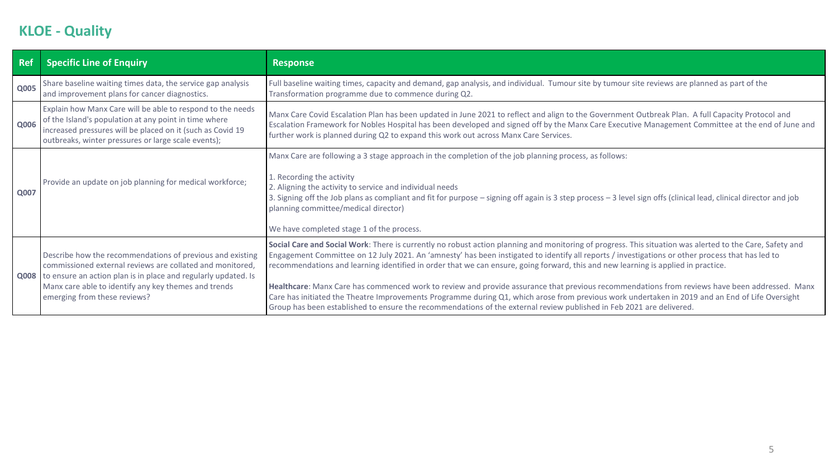# **KLOE - Quality**

| Ref         | <b>Specific Line of Enquiry</b>                                                                                                                                                                                                                                                       | <b>Response</b>                                                                                                                                                                                                                                                                                                                                                                                                                                                                                                                                                                                                                                                                                                                                                                                                                                                               |  |  |  |
|-------------|---------------------------------------------------------------------------------------------------------------------------------------------------------------------------------------------------------------------------------------------------------------------------------------|-------------------------------------------------------------------------------------------------------------------------------------------------------------------------------------------------------------------------------------------------------------------------------------------------------------------------------------------------------------------------------------------------------------------------------------------------------------------------------------------------------------------------------------------------------------------------------------------------------------------------------------------------------------------------------------------------------------------------------------------------------------------------------------------------------------------------------------------------------------------------------|--|--|--|
| <b>Q005</b> | Share baseline waiting times data, the service gap analysis<br>and improvement plans for cancer diagnostics.                                                                                                                                                                          | Full baseline waiting times, capacity and demand, gap analysis, and individual. Tumour site by tumour site reviews are planned as part of the<br>Transformation programme due to commence during Q2.                                                                                                                                                                                                                                                                                                                                                                                                                                                                                                                                                                                                                                                                          |  |  |  |
| Q006        | Explain how Manx Care will be able to respond to the needs<br>of the Island's population at any point in time where<br>increased pressures will be placed on it (such as Covid 19<br>outbreaks, winter pressures or large scale events);                                              | Manx Care Covid Escalation Plan has been updated in June 2021 to reflect and align to the Government Outbreak Plan. A full Capacity Protocol and<br>Escalation Framework for Nobles Hospital has been developed and signed off by the Manx Care Executive Management Committee at the end of June and<br>further work is planned during Q2 to expand this work out across Manx Care Services.                                                                                                                                                                                                                                                                                                                                                                                                                                                                                 |  |  |  |
| Q007        | Provide an update on job planning for medical workforce;                                                                                                                                                                                                                              | Manx Care are following a 3 stage approach in the completion of the job planning process, as follows:<br>1. Recording the activity<br>2. Aligning the activity to service and individual needs<br>3. Signing off the Job plans as compliant and fit for purpose - signing off again is 3 step process - 3 level sign offs (clinical lead, clinical director and job<br>planning committee/medical director)<br>We have completed stage 1 of the process.                                                                                                                                                                                                                                                                                                                                                                                                                      |  |  |  |
|             | Describe how the recommendations of previous and existing<br>commissioned external reviews are collated and monitored,<br>Q008 to ensure an action plan is in place and regularly updated. Is<br>Manx care able to identify any key themes and trends<br>emerging from these reviews? | Social Care and Social Work: There is currently no robust action planning and monitoring of progress. This situation was alerted to the Care, Safety and<br>Engagement Committee on 12 July 2021. An 'amnesty' has been instigated to identify all reports / investigations or other process that has led to<br>recommendations and learning identified in order that we can ensure, going forward, this and new learning is applied in practice.<br>Healthcare: Manx Care has commenced work to review and provide assurance that previous recommendations from reviews have been addressed. Manx<br>Care has initiated the Theatre Improvements Programme during Q1, which arose from previous work undertaken in 2019 and an End of Life Oversight<br>Group has been established to ensure the recommendations of the external review published in Feb 2021 are delivered. |  |  |  |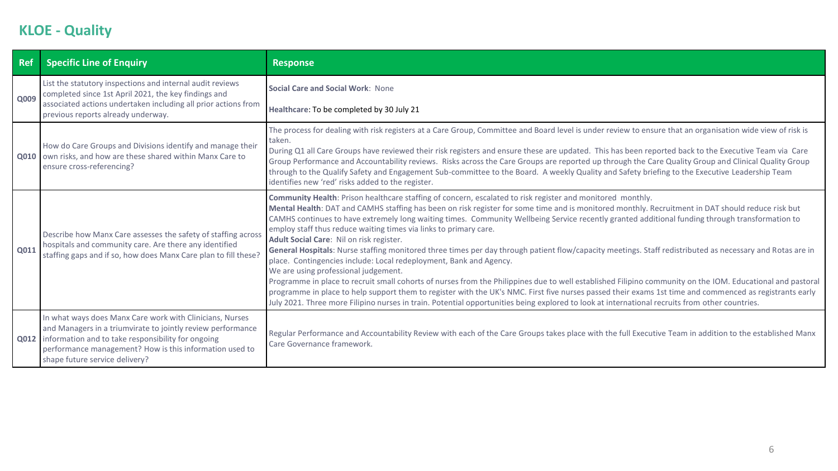# **KLOE - Quality**

| <b>Ref</b> | <b>Specific Line of Enquiry</b>                                                                                                                                                                                                                                                   | <b>Response</b>                                                                                                                                                                                                                                                                                                                                                                                                                                                                                                                                                                                                                                                                                                                                                                                                                                                                                                                                                                                                                                                                                                                                                                                                                                                                           |  |  |  |  |  |
|------------|-----------------------------------------------------------------------------------------------------------------------------------------------------------------------------------------------------------------------------------------------------------------------------------|-------------------------------------------------------------------------------------------------------------------------------------------------------------------------------------------------------------------------------------------------------------------------------------------------------------------------------------------------------------------------------------------------------------------------------------------------------------------------------------------------------------------------------------------------------------------------------------------------------------------------------------------------------------------------------------------------------------------------------------------------------------------------------------------------------------------------------------------------------------------------------------------------------------------------------------------------------------------------------------------------------------------------------------------------------------------------------------------------------------------------------------------------------------------------------------------------------------------------------------------------------------------------------------------|--|--|--|--|--|
| Q009       | List the statutory inspections and internal audit reviews<br>completed since 1st April 2021, the key findings and                                                                                                                                                                 | Social Care and Social Work: None                                                                                                                                                                                                                                                                                                                                                                                                                                                                                                                                                                                                                                                                                                                                                                                                                                                                                                                                                                                                                                                                                                                                                                                                                                                         |  |  |  |  |  |
|            | associated actions undertaken including all prior actions from<br>previous reports already underway.                                                                                                                                                                              | Healthcare: To be completed by 30 July 21                                                                                                                                                                                                                                                                                                                                                                                                                                                                                                                                                                                                                                                                                                                                                                                                                                                                                                                                                                                                                                                                                                                                                                                                                                                 |  |  |  |  |  |
|            | How do Care Groups and Divisions identify and manage their<br>Q010 own risks, and how are these shared within Manx Care to<br>ensure cross-referencing?                                                                                                                           | The process for dealing with risk registers at a Care Group, Committee and Board level is under review to ensure that an organisation wide view of risk is<br>taken.<br>During Q1 all Care Groups have reviewed their risk registers and ensure these are updated. This has been reported back to the Executive Team via Care<br>Group Performance and Accountability reviews. Risks across the Care Groups are reported up through the Care Quality Group and Clinical Quality Group<br>through to the Qualify Safety and Engagement Sub-committee to the Board. A weekly Quality and Safety briefing to the Executive Leadership Team<br>identifies new 'red' risks added to the register.                                                                                                                                                                                                                                                                                                                                                                                                                                                                                                                                                                                              |  |  |  |  |  |
| Q011       | Describe how Manx Care assesses the safety of staffing across<br>hospitals and community care. Are there any identified<br>staffing gaps and if so, how does Manx Care plan to fill these?                                                                                        | Community Health: Prison healthcare staffing of concern, escalated to risk register and monitored monthly.<br>Mental Health: DAT and CAMHS staffing has been on risk register for some time and is monitored monthly. Recruitment in DAT should reduce risk but<br>CAMHS continues to have extremely long waiting times. Community Wellbeing Service recently granted additional funding through transformation to<br>employ staff thus reduce waiting times via links to primary care.<br>Adult Social Care: Nil on risk register.<br>General Hospitals: Nurse staffing monitored three times per day through patient flow/capacity meetings. Staff redistributed as necessary and Rotas are in<br>place. Contingencies include: Local redeployment, Bank and Agency.<br>We are using professional judgement.<br>Programme in place to recruit small cohorts of nurses from the Philippines due to well established Filipino community on the IOM. Educational and pastoral<br>programme in place to help support them to register with the UK's NMC. First five nurses passed their exams 1st time and commenced as registrants early<br>July 2021. Three more Filipino nurses in train. Potential opportunities being explored to look at international recruits from other countries. |  |  |  |  |  |
|            | In what ways does Manx Care work with Clinicians, Nurses<br>and Managers in a triumvirate to jointly review performance<br>Q012   information and to take responsibility for ongoing<br>performance management? How is this information used to<br>shape future service delivery? | Regular Performance and Accountability Review with each of the Care Groups takes place with the full Executive Team in addition to the established Manx<br>Care Governance framework.                                                                                                                                                                                                                                                                                                                                                                                                                                                                                                                                                                                                                                                                                                                                                                                                                                                                                                                                                                                                                                                                                                     |  |  |  |  |  |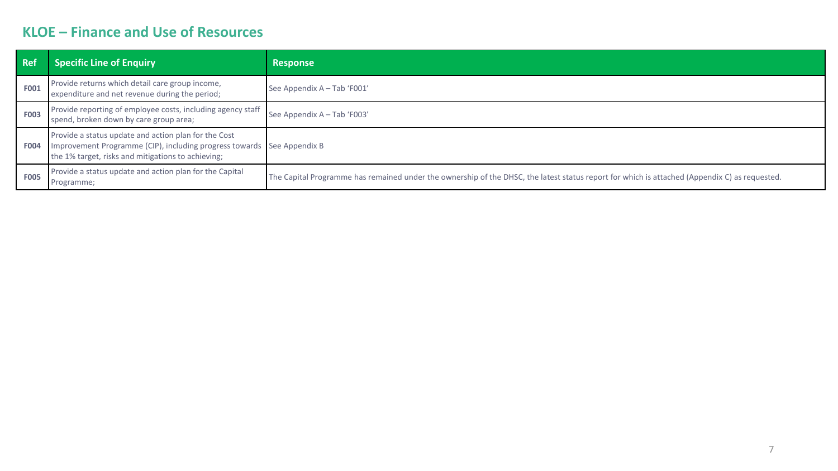## **KLOE – Finance and Use of Resources**

| <b>Ref</b>  | <b>Specific Line of Enquiry</b>                                                                                                                                                      | <b>Response</b>                                                                                                                               |  |
|-------------|--------------------------------------------------------------------------------------------------------------------------------------------------------------------------------------|-----------------------------------------------------------------------------------------------------------------------------------------------|--|
| <b>F001</b> | Provide returns which detail care group income,<br>expenditure and net revenue during the period;                                                                                    | See Appendix A - Tab 'F001'                                                                                                                   |  |
| <b>F003</b> | Provide reporting of employee costs, including agency staff<br>spend, broken down by care group area;                                                                                | See Appendix A - Tab 'F003'                                                                                                                   |  |
| <b>F004</b> | Provide a status update and action plan for the Cost<br>Improvement Programme (CIP), including progress towards See Appendix B<br>the 1% target, risks and mitigations to achieving; |                                                                                                                                               |  |
| <b>F005</b> | Provide a status update and action plan for the Capital<br>Programme;                                                                                                                | The Capital Programme has remained under the ownership of the DHSC, the latest status report for which is attached (Appendix C) as requested. |  |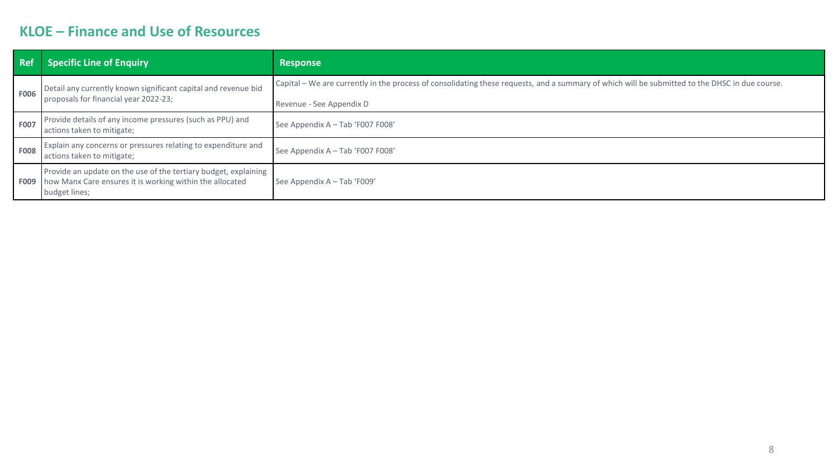## **KLOE – Finance and Use of Resources**

| <b>Ref</b>  | <b>Specific Line of Enquiry</b>                                                                                                              | <b>Response</b>                                                                                                                                                            |  |  |  |
|-------------|----------------------------------------------------------------------------------------------------------------------------------------------|----------------------------------------------------------------------------------------------------------------------------------------------------------------------------|--|--|--|
| <b>F006</b> | Detail any currently known significant capital and revenue bid<br>proposals for financial year 2022-23;                                      | Capital – We are currently in the process of consolidating these requests, and a summary of which will be submitted to the DHSC in due course.<br>Revenue - See Appendix D |  |  |  |
| <b>F007</b> | Provide details of any income pressures (such as PPU) and<br>actions taken to mitigate;                                                      | See Appendix A - Tab 'F007 F008'                                                                                                                                           |  |  |  |
| <b>F008</b> | Explain any concerns or pressures relating to expenditure and<br>actions taken to mitigate;                                                  | See Appendix A - Tab 'F007 F008'                                                                                                                                           |  |  |  |
| <b>F009</b> | Provide an update on the use of the tertiary budget, explaining<br>how Manx Care ensures it is working within the allocated<br>budget lines; | See Appendix A - Tab 'F009'                                                                                                                                                |  |  |  |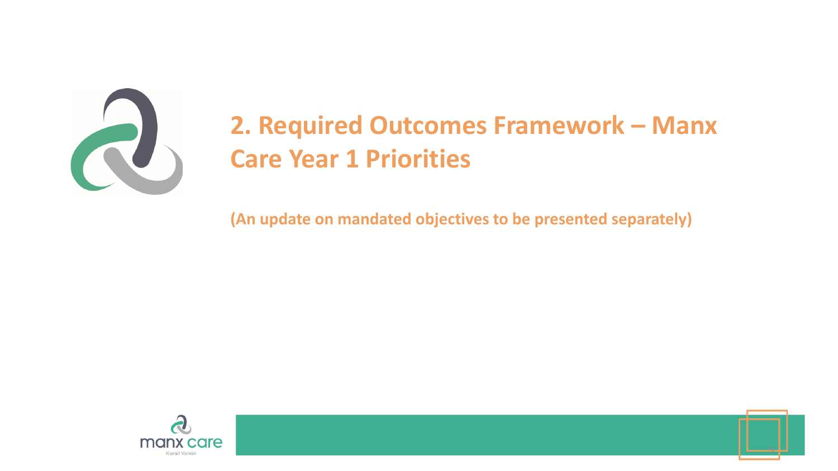

# **2. Required Outcomes Framework – Manx Care Year 1 Priorities**

**(An update on mandated objectives to be presented separately)**



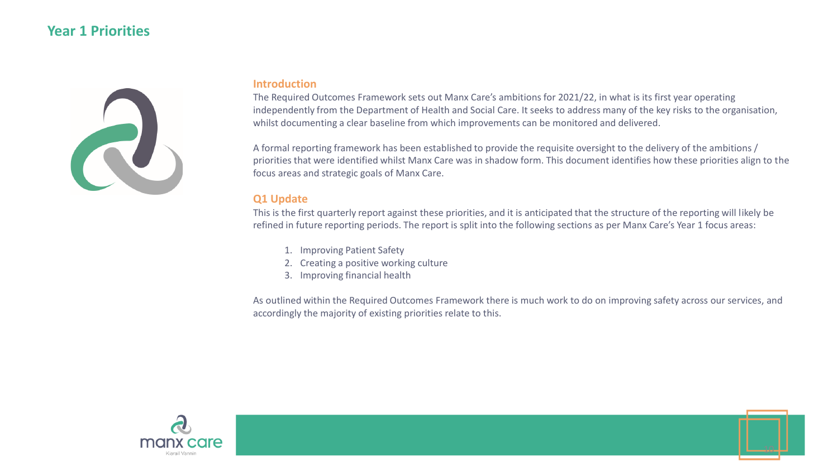### **Year 1 Priorities**



#### **Introduction**

The Required Outcomes Framework sets out Manx Care's ambitions for 2021/22, in what is its first year operating independently from the Department of Health and Social Care. It seeks to address many of the key risks to the organisation, whilst documenting a clear baseline from which improvements can be monitored and delivered.

A formal reporting framework has been established to provide the requisite oversight to the delivery of the ambitions / priorities that were identified whilst Manx Care was in shadow form. This document identifies how these priorities align to the focus areas and strategic goals of Manx Care.

### **Q1 Update**

This is the first quarterly report against these priorities, and it is anticipated that the structure of the reporting will likely be refined in future reporting periods. The report is split into the following sections as per Manx Care's Year 1 focus areas:

- 1. Improving Patient Safety
- 2. Creating a positive working culture
- 3. Improving financial health

As outlined within the Required Outcomes Framework there is much work to do on improving safety across our services, and accordingly the majority of existing priorities relate to this.



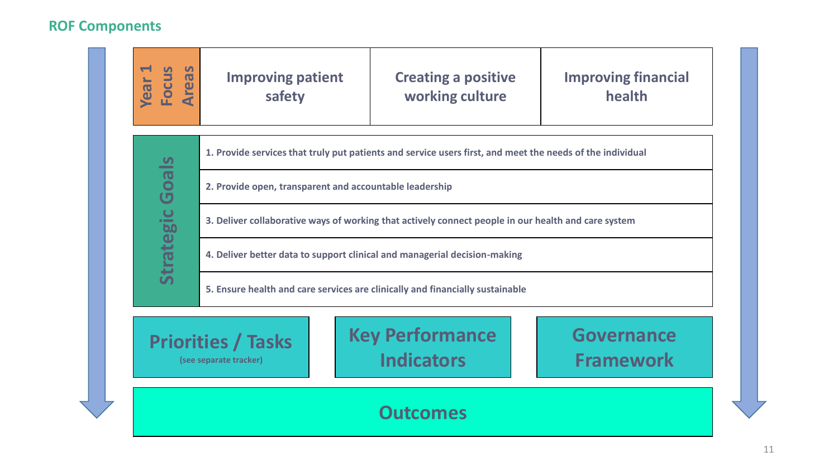# **ROF Components**

| <b>Year 1<br/>Focus<br/>Areas</b>                                                                                                           | <b>Improving patient</b><br>safety                      | <b>Creating a positive</b><br>working culture                                                             | <b>Improving financial</b><br>health |  |  |  |  |  |
|---------------------------------------------------------------------------------------------------------------------------------------------|---------------------------------------------------------|-----------------------------------------------------------------------------------------------------------|--------------------------------------|--|--|--|--|--|
|                                                                                                                                             |                                                         | 1. Provide services that truly put patients and service users first, and meet the needs of the individual |                                      |  |  |  |  |  |
| <b>Strategic Goals</b>                                                                                                                      | 2. Provide open, transparent and accountable leadership |                                                                                                           |                                      |  |  |  |  |  |
|                                                                                                                                             |                                                         | 3. Deliver collaborative ways of working that actively connect people in our health and care system       |                                      |  |  |  |  |  |
|                                                                                                                                             |                                                         | 4. Deliver better data to support clinical and managerial decision-making                                 |                                      |  |  |  |  |  |
| 5. Ensure health and care services are clinically and financially sustainable                                                               |                                                         |                                                                                                           |                                      |  |  |  |  |  |
| <b>Key Performance</b><br><b>Governance</b><br><b>Priorities / Tasks</b><br><b>Indicators</b><br><b>Framework</b><br>(see separate tracker) |                                                         |                                                                                                           |                                      |  |  |  |  |  |
| <b>Outcomes</b>                                                                                                                             |                                                         |                                                                                                           |                                      |  |  |  |  |  |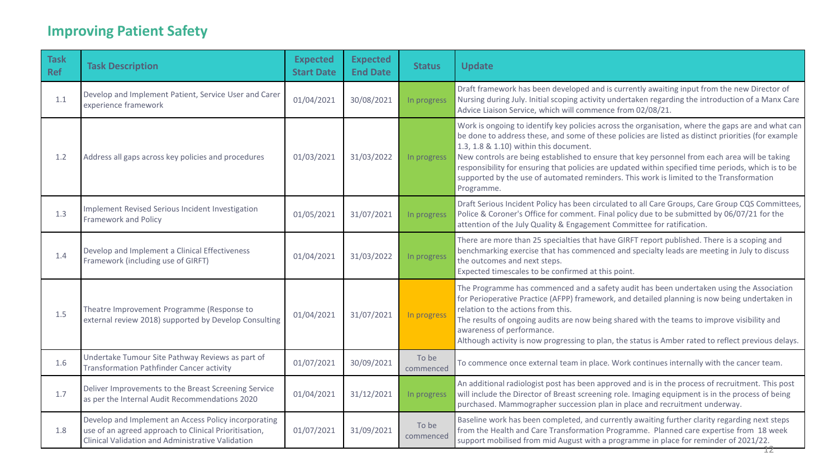| <b>Task</b><br><b>Ref</b> | <b>Task Description</b>                                                                                                                                            | <b>Expected</b><br><b>Start Date</b> | <b>Expected</b><br><b>End Date</b> | <b>Status</b>      | <b>Update</b>                                                                                                                                                                                                                                                                                                                                                                                                                                                                                                                                                       |
|---------------------------|--------------------------------------------------------------------------------------------------------------------------------------------------------------------|--------------------------------------|------------------------------------|--------------------|---------------------------------------------------------------------------------------------------------------------------------------------------------------------------------------------------------------------------------------------------------------------------------------------------------------------------------------------------------------------------------------------------------------------------------------------------------------------------------------------------------------------------------------------------------------------|
| 1.1                       | Develop and Implement Patient, Service User and Carer<br>experience framework                                                                                      | 01/04/2021                           | 30/08/2021                         | In progress        | Draft framework has been developed and is currently awaiting input from the new Director of<br>Nursing during July. Initial scoping activity undertaken regarding the introduction of a Manx Care<br>Advice Liaison Service, which will commence from 02/08/21.                                                                                                                                                                                                                                                                                                     |
| 1.2                       | Address all gaps across key policies and procedures                                                                                                                | 01/03/2021                           | 31/03/2022                         | In progress        | Work is ongoing to identify key policies across the organisation, where the gaps are and what can<br>be done to address these, and some of these policies are listed as distinct priorities (for example<br>1.3, 1.8 & 1.10) within this document.<br>New controls are being established to ensure that key personnel from each area will be taking<br>responsibility for ensuring that policies are updated within specified time periods, which is to be<br>supported by the use of automated reminders. This work is limited to the Transformation<br>Programme. |
| 1.3                       | Implement Revised Serious Incident Investigation<br><b>Framework and Policy</b>                                                                                    | 01/05/2021                           | 31/07/2021                         | In progress        | Draft Serious Incident Policy has been circulated to all Care Groups, Care Group CQS Committees,<br>Police & Coroner's Office for comment. Final policy due to be submitted by 06/07/21 for the<br>attention of the July Quality & Engagement Committee for ratification.                                                                                                                                                                                                                                                                                           |
| 1.4                       | Develop and Implement a Clinical Effectiveness<br>Framework (including use of GIRFT)                                                                               | 01/04/2021                           | 31/03/2022                         | In progress        | There are more than 25 specialties that have GIRFT report published. There is a scoping and<br>benchmarking exercise that has commenced and specialty leads are meeting in July to discuss<br>the outcomes and next steps.<br>Expected timescales to be confirmed at this point.                                                                                                                                                                                                                                                                                    |
| 1.5                       | Theatre Improvement Programme (Response to<br>external review 2018) supported by Develop Consulting                                                                | 01/04/2021                           | 31/07/2021                         | In progress        | The Programme has commenced and a safety audit has been undertaken using the Association<br>for Perioperative Practice (AFPP) framework, and detailed planning is now being undertaken in<br>relation to the actions from this.<br>The results of ongoing audits are now being shared with the teams to improve visibility and<br>awareness of performance.<br>Although activity is now progressing to plan, the status is Amber rated to reflect previous delays.                                                                                                  |
| 1.6                       | Undertake Tumour Site Pathway Reviews as part of<br><b>Transformation Pathfinder Cancer activity</b>                                                               | 01/07/2021                           | 30/09/2021                         | To be<br>commenced | To commence once external team in place. Work continues internally with the cancer team.                                                                                                                                                                                                                                                                                                                                                                                                                                                                            |
| 1.7                       | Deliver Improvements to the Breast Screening Service<br>as per the Internal Audit Recommendations 2020                                                             | 01/04/2021                           | 31/12/2021                         | In progress        | An additional radiologist post has been approved and is in the process of recruitment. This post<br>will include the Director of Breast screening role. Imaging equipment is in the process of being<br>purchased. Mammographer succession plan in place and recruitment underway.                                                                                                                                                                                                                                                                                  |
| 1.8                       | Develop and Implement an Access Policy incorporating<br>use of an agreed approach to Clinical Prioritisation,<br>Clinical Validation and Administrative Validation | 01/07/2021                           | 31/09/2021                         | To be<br>commenced | Baseline work has been completed, and currently awaiting further clarity regarding next steps<br>from the Health and Care Transformation Programme. Planned care expertise from 18 week<br>support mobilised from mid August with a programme in place for reminder of 2021/22.                                                                                                                                                                                                                                                                                     |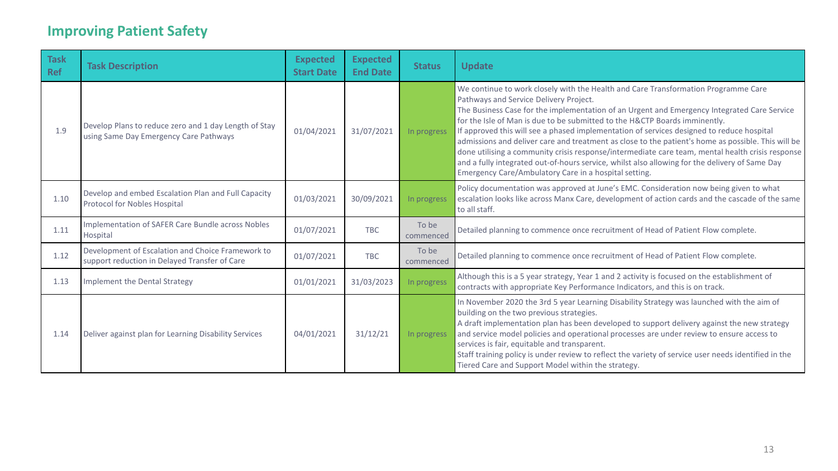| <b>Task</b><br><b>Ref</b> | <b>Task Description</b>                                                                            | <b>Expected</b><br><b>Start Date</b> | <b>Expected</b><br><b>End Date</b> | <b>Status</b>      | <b>Update</b>                                                                                                                                                                                                                                                                                                                                                                                                                                                                                                                                                                                                                                                                                                                                                               |
|---------------------------|----------------------------------------------------------------------------------------------------|--------------------------------------|------------------------------------|--------------------|-----------------------------------------------------------------------------------------------------------------------------------------------------------------------------------------------------------------------------------------------------------------------------------------------------------------------------------------------------------------------------------------------------------------------------------------------------------------------------------------------------------------------------------------------------------------------------------------------------------------------------------------------------------------------------------------------------------------------------------------------------------------------------|
| 1.9                       | Develop Plans to reduce zero and 1 day Length of Stay<br>using Same Day Emergency Care Pathways    | 01/04/2021                           | 31/07/2021                         | In progress        | We continue to work closely with the Health and Care Transformation Programme Care<br>Pathways and Service Delivery Project.<br>The Business Case for the implementation of an Urgent and Emergency Integrated Care Service<br>for the Isle of Man is due to be submitted to the H&CTP Boards imminently.<br>If approved this will see a phased implementation of services designed to reduce hospital<br>admissions and deliver care and treatment as close to the patient's home as possible. This will be<br>done utilising a community crisis response/intermediate care team, mental health crisis response<br>and a fully integrated out-of-hours service, whilst also allowing for the delivery of Same Day<br>Emergency Care/Ambulatory Care in a hospital setting. |
| 1.10                      | Develop and embed Escalation Plan and Full Capacity<br><b>Protocol for Nobles Hospital</b>         | 01/03/2021                           | 30/09/2021                         | In progress        | Policy documentation was approved at June's EMC. Consideration now being given to what<br>escalation looks like across Manx Care, development of action cards and the cascade of the same<br>to all staff.                                                                                                                                                                                                                                                                                                                                                                                                                                                                                                                                                                  |
| 1.11                      | Implementation of SAFER Care Bundle across Nobles<br>Hospital                                      | 01/07/2021                           | <b>TBC</b>                         | To be<br>commenced | Detailed planning to commence once recruitment of Head of Patient Flow complete.                                                                                                                                                                                                                                                                                                                                                                                                                                                                                                                                                                                                                                                                                            |
| 1.12                      | Development of Escalation and Choice Framework to<br>support reduction in Delayed Transfer of Care | 01/07/2021                           | <b>TBC</b>                         | To be<br>commenced | Detailed planning to commence once recruitment of Head of Patient Flow complete.                                                                                                                                                                                                                                                                                                                                                                                                                                                                                                                                                                                                                                                                                            |
| 1.13                      | Implement the Dental Strategy                                                                      | 01/01/2021                           | 31/03/2023                         | In progress        | Although this is a 5 year strategy, Year 1 and 2 activity is focused on the establishment of<br>contracts with appropriate Key Performance Indicators, and this is on track.                                                                                                                                                                                                                                                                                                                                                                                                                                                                                                                                                                                                |
| 1.14                      | Deliver against plan for Learning Disability Services                                              | 04/01/2021                           | 31/12/21                           | In progress        | In November 2020 the 3rd 5 year Learning Disability Strategy was launched with the aim of<br>building on the two previous strategies.<br>A draft implementation plan has been developed to support delivery against the new strategy<br>and service model policies and operational processes are under review to ensure access to<br>services is fair, equitable and transparent.<br>Staff training policy is under review to reflect the variety of service user needs identified in the<br>Tiered Care and Support Model within the strategy.                                                                                                                                                                                                                             |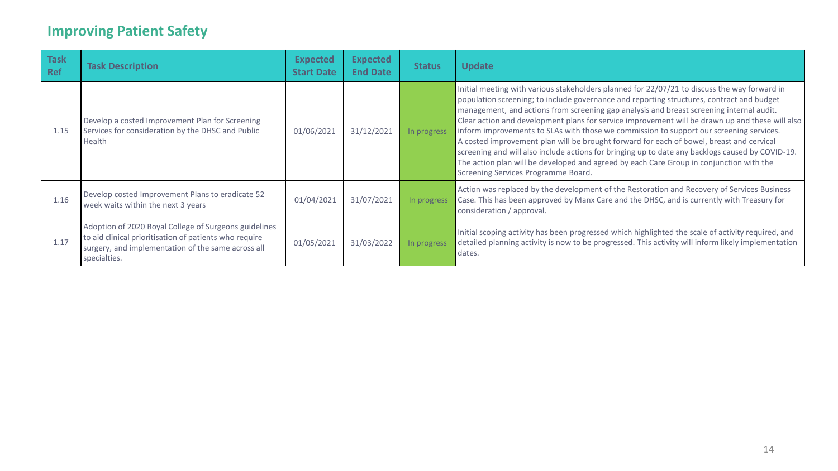| <b>Task</b><br>Ref | <b>Task Description</b>                                                                                                                                                               | <b>Expected</b><br><b>Start Date</b> | <b>Expected</b><br><b>End Date</b> | <b>Status</b> | <b>Update</b>                                                                                                                                                                                                                                                                                                                                                                                                                                                                                                                                                                                                                                                                                                                                                                                                         |
|--------------------|---------------------------------------------------------------------------------------------------------------------------------------------------------------------------------------|--------------------------------------|------------------------------------|---------------|-----------------------------------------------------------------------------------------------------------------------------------------------------------------------------------------------------------------------------------------------------------------------------------------------------------------------------------------------------------------------------------------------------------------------------------------------------------------------------------------------------------------------------------------------------------------------------------------------------------------------------------------------------------------------------------------------------------------------------------------------------------------------------------------------------------------------|
| 1.15               | Develop a costed Improvement Plan for Screening<br>Services for consideration by the DHSC and Public<br>Health                                                                        | 01/06/2021                           | 31/12/2021                         | In progress   | Initial meeting with various stakeholders planned for 22/07/21 to discuss the way forward in<br>population screening; to include governance and reporting structures, contract and budget<br>management, and actions from screening gap analysis and breast screening internal audit.<br>Clear action and development plans for service improvement will be drawn up and these will also<br>inform improvements to SLAs with those we commission to support our screening services.<br>A costed improvement plan will be brought forward for each of bowel, breast and cervical<br>screening and will also include actions for bringing up to date any backlogs caused by COVID-19.<br>The action plan will be developed and agreed by each Care Group in conjunction with the<br>Screening Services Programme Board. |
| 1.16               | Develop costed Improvement Plans to eradicate 52<br>week waits within the next 3 years                                                                                                | 01/04/2021                           | 31/07/2021                         | In progress   | Action was replaced by the development of the Restoration and Recovery of Services Business<br>Case. This has been approved by Manx Care and the DHSC, and is currently with Treasury for<br>consideration / approval.                                                                                                                                                                                                                                                                                                                                                                                                                                                                                                                                                                                                |
| 1.17               | Adoption of 2020 Royal College of Surgeons guidelines<br>to aid clinical prioritisation of patients who require<br>surgery, and implementation of the same across all<br>specialties. | 01/05/2021                           | 31/03/2022                         | In progress   | Initial scoping activity has been progressed which highlighted the scale of activity required, and<br>detailed planning activity is now to be progressed. This activity will inform likely implementation<br>dates.                                                                                                                                                                                                                                                                                                                                                                                                                                                                                                                                                                                                   |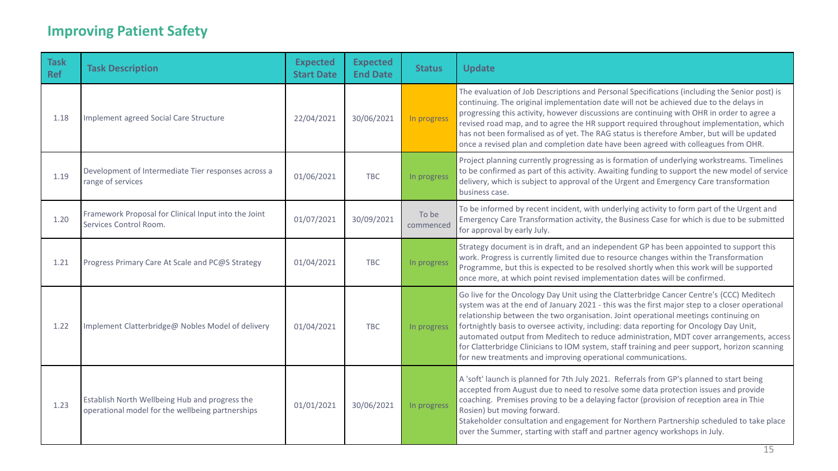| <b>Task</b><br><b>Ref</b> | <b>Task Description</b>                                                                            | <b>Expected</b><br><b>Start Date</b> | <b>Expected</b><br><b>End Date</b> | <b>Status</b>      | <b>Update</b>                                                                                                                                                                                                                                                                                                                                                                                                                                                                                                                                                                                                                           |
|---------------------------|----------------------------------------------------------------------------------------------------|--------------------------------------|------------------------------------|--------------------|-----------------------------------------------------------------------------------------------------------------------------------------------------------------------------------------------------------------------------------------------------------------------------------------------------------------------------------------------------------------------------------------------------------------------------------------------------------------------------------------------------------------------------------------------------------------------------------------------------------------------------------------|
| 1.18                      | Implement agreed Social Care Structure                                                             | 22/04/2021                           | 30/06/2021                         | In progress        | The evaluation of Job Descriptions and Personal Specifications (including the Senior post) is<br>continuing. The original implementation date will not be achieved due to the delays in<br>progressing this activity, however discussions are continuing with OHR in order to agree a<br>revised road map, and to agree the HR support required throughout implementation, which<br>has not been formalised as of yet. The RAG status is therefore Amber, but will be updated<br>once a revised plan and completion date have been agreed with colleagues from OHR.                                                                     |
| 1.19                      | Development of Intermediate Tier responses across a<br>range of services                           | 01/06/2021                           | <b>TBC</b>                         | In progress        | Project planning currently progressing as is formation of underlying workstreams. Timelines<br>to be confirmed as part of this activity. Awaiting funding to support the new model of service<br>delivery, which is subject to approval of the Urgent and Emergency Care transformation<br>business case.                                                                                                                                                                                                                                                                                                                               |
| 1.20                      | Framework Proposal for Clinical Input into the Joint<br>Services Control Room.                     | 01/07/2021                           | 30/09/2021                         | To be<br>commenced | To be informed by recent incident, with underlying activity to form part of the Urgent and<br>Emergency Care Transformation activity, the Business Case for which is due to be submitted<br>for approval by early July.                                                                                                                                                                                                                                                                                                                                                                                                                 |
| 1.21                      | Progress Primary Care At Scale and PC@S Strategy                                                   | 01/04/2021                           | <b>TBC</b>                         | In progress        | Strategy document is in draft, and an independent GP has been appointed to support this<br>work. Progress is currently limited due to resource changes within the Transformation<br>Programme, but this is expected to be resolved shortly when this work will be supported<br>once more, at which point revised implementation dates will be confirmed.                                                                                                                                                                                                                                                                                |
| 1.22                      | Implement Clatterbridge@ Nobles Model of delivery                                                  | 01/04/2021                           | <b>TBC</b>                         | In progress        | Go live for the Oncology Day Unit using the Clatterbridge Cancer Centre's (CCC) Meditech<br>system was at the end of January 2021 - this was the first major step to a closer operational<br>relationship between the two organisation. Joint operational meetings continuing on<br>fortnightly basis to oversee activity, including: data reporting for Oncology Day Unit,<br>automated output from Meditech to reduce administration, MDT cover arrangements, access<br>for Clatterbridge Clinicians to IOM system, staff training and peer support, horizon scanning<br>for new treatments and improving operational communications. |
| 1.23                      | Establish North Wellbeing Hub and progress the<br>operational model for the wellbeing partnerships | 01/01/2021                           | 30/06/2021                         | In progress        | A 'soft' launch is planned for 7th July 2021. Referrals from GP's planned to start being<br>accepted from August due to need to resolve some data protection issues and provide<br>coaching. Premises proving to be a delaying factor (provision of reception area in Thie<br>Rosien) but moving forward.<br>Stakeholder consultation and engagement for Northern Partnership scheduled to take place<br>over the Summer, starting with staff and partner agency workshops in July.                                                                                                                                                     |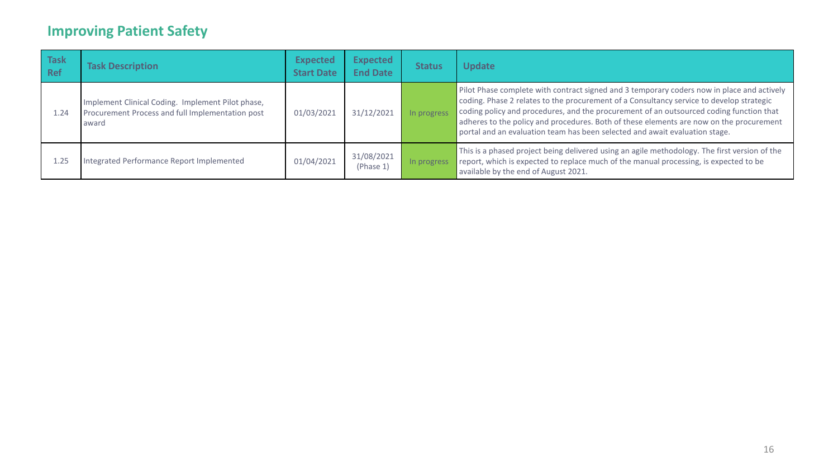| <b>Task</b><br><b>Ref</b> | <b>Task Description</b>                                                                                        | <b>Expected</b><br><b>Start Date</b> | <b>Expected</b><br><b>End Date</b> | <b>Status</b> | <b>Update</b>                                                                                                                                                                                                                                                                                                                                                                                                                                               |
|---------------------------|----------------------------------------------------------------------------------------------------------------|--------------------------------------|------------------------------------|---------------|-------------------------------------------------------------------------------------------------------------------------------------------------------------------------------------------------------------------------------------------------------------------------------------------------------------------------------------------------------------------------------------------------------------------------------------------------------------|
| 1.24                      | Implement Clinical Coding. Implement Pilot phase,<br>Procurement Process and full Implementation post<br>award | 01/03/2021                           | 31/12/2021                         | In progress   | Pilot Phase complete with contract signed and 3 temporary coders now in place and actively<br>coding. Phase 2 relates to the procurement of a Consultancy service to develop strategic<br>coding policy and procedures, and the procurement of an outsourced coding function that<br>adheres to the policy and procedures. Both of these elements are now on the procurement<br>portal and an evaluation team has been selected and await evaluation stage. |
| 1.25                      | Integrated Performance Report Implemented                                                                      | 01/04/2021                           | 31/08/2021<br>(Phase 1)            | In progres    | This is a phased project being delivered using an agile methodology. The first version of the<br>report, which is expected to replace much of the manual processing, is expected to be<br>available by the end of August 2021.                                                                                                                                                                                                                              |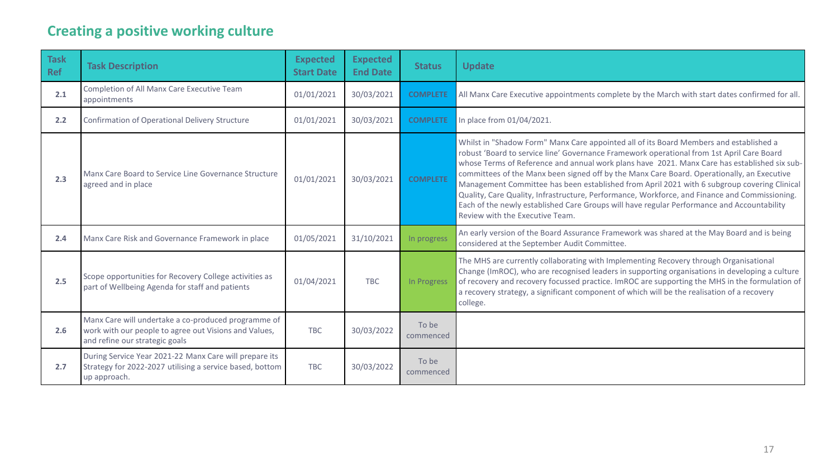# **Creating a positive working culture**

| <b>Task</b><br><b>Ref</b> | <b>Task Description</b>                                                                                                                        | <b>Expected</b><br><b>Start Date</b> | <b>Expected</b><br><b>End Date</b> | <b>Status</b>      | <b>Update</b>                                                                                                                                                                                                                                                                                                                                                                                                                                                                                                                                                                                                                                                                                                      |
|---------------------------|------------------------------------------------------------------------------------------------------------------------------------------------|--------------------------------------|------------------------------------|--------------------|--------------------------------------------------------------------------------------------------------------------------------------------------------------------------------------------------------------------------------------------------------------------------------------------------------------------------------------------------------------------------------------------------------------------------------------------------------------------------------------------------------------------------------------------------------------------------------------------------------------------------------------------------------------------------------------------------------------------|
| 2.1                       | Completion of All Manx Care Executive Team<br>appointments                                                                                     | 01/01/2021                           | 30/03/2021                         | <b>COMPLETE</b>    | All Manx Care Executive appointments complete by the March with start dates confirmed for all.                                                                                                                                                                                                                                                                                                                                                                                                                                                                                                                                                                                                                     |
| 2.2                       | <b>Confirmation of Operational Delivery Structure</b>                                                                                          | 01/01/2021                           | 30/03/2021                         | <b>COMPLETE</b>    | In place from 01/04/2021.                                                                                                                                                                                                                                                                                                                                                                                                                                                                                                                                                                                                                                                                                          |
| 2.3                       | Manx Care Board to Service Line Governance Structure<br>agreed and in place                                                                    | 01/01/2021                           | 30/03/2021                         | <b>COMPLETE</b>    | Whilst in "Shadow Form" Manx Care appointed all of its Board Members and established a<br>robust 'Board to service line' Governance Framework operational from 1st April Care Board<br>whose Terms of Reference and annual work plans have 2021. Manx Care has established six sub-<br>committees of the Manx been signed off by the Manx Care Board. Operationally, an Executive<br>Management Committee has been established from April 2021 with 6 subgroup covering Clinical<br>Quality, Care Quality, Infrastructure, Performance, Workforce, and Finance and Commissioning.<br>Each of the newly established Care Groups will have regular Performance and Accountability<br>Review with the Executive Team. |
| 2.4                       | Manx Care Risk and Governance Framework in place                                                                                               | 01/05/2021                           | 31/10/2021                         | In progress        | An early version of the Board Assurance Framework was shared at the May Board and is being<br>considered at the September Audit Committee.                                                                                                                                                                                                                                                                                                                                                                                                                                                                                                                                                                         |
| 2.5                       | Scope opportunities for Recovery College activities as<br>part of Wellbeing Agenda for staff and patients                                      | 01/04/2021                           | <b>TBC</b>                         | In Progress        | The MHS are currently collaborating with Implementing Recovery through Organisational<br>Change (ImROC), who are recognised leaders in supporting organisations in developing a culture<br>of recovery and recovery focussed practice. ImROC are supporting the MHS in the formulation of<br>a recovery strategy, a significant component of which will be the realisation of a recovery<br>college.                                                                                                                                                                                                                                                                                                               |
| 2.6                       | Manx Care will undertake a co-produced programme of<br>work with our people to agree out Visions and Values,<br>and refine our strategic goals | <b>TBC</b>                           | 30/03/2022                         | To be<br>commenced |                                                                                                                                                                                                                                                                                                                                                                                                                                                                                                                                                                                                                                                                                                                    |
| 2.7                       | During Service Year 2021-22 Manx Care will prepare its<br>Strategy for 2022-2027 utilising a service based, bottom<br>up approach.             | <b>TBC</b>                           | 30/03/2022                         | To be<br>commenced |                                                                                                                                                                                                                                                                                                                                                                                                                                                                                                                                                                                                                                                                                                                    |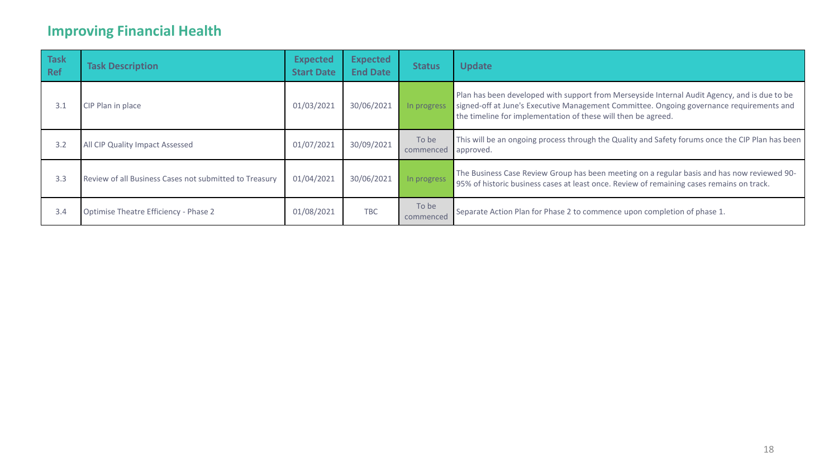# **Improving Financial Health**

| <b>Task</b><br>Ref | <b>Task Description</b>                                | <b>Expected</b><br><b>Start Date</b> | <b>Expected</b><br><b>End Date</b> | <b>Status</b>      | <b>Update</b>                                                                                                                                                                                                                                             |
|--------------------|--------------------------------------------------------|--------------------------------------|------------------------------------|--------------------|-----------------------------------------------------------------------------------------------------------------------------------------------------------------------------------------------------------------------------------------------------------|
| 3.1                | CIP Plan in place                                      | 01/03/2021                           | 30/06/2021                         | In progress        | Plan has been developed with support from Merseyside Internal Audit Agency, and is due to be<br>signed-off at June's Executive Management Committee. Ongoing governance requirements and<br>the timeline for implementation of these will then be agreed. |
| 3.2                | All CIP Quality Impact Assessed                        | 01/07/2021                           | 30/09/2021                         | To be<br>commenced | This will be an ongoing process through the Quality and Safety forums once the CIP Plan has been<br>approved.                                                                                                                                             |
| 3.3                | Review of all Business Cases not submitted to Treasury | 01/04/2021                           | 30/06/2021                         | In progress        | The Business Case Review Group has been meeting on a regular basis and has now reviewed 90-<br>95% of historic business cases at least once. Review of remaining cases remains on track.                                                                  |
| 3.4                | Optimise Theatre Efficiency - Phase 2                  | 01/08/2021                           | <b>TBC</b>                         | To be<br>commenced | Separate Action Plan for Phase 2 to commence upon completion of phase 1.                                                                                                                                                                                  |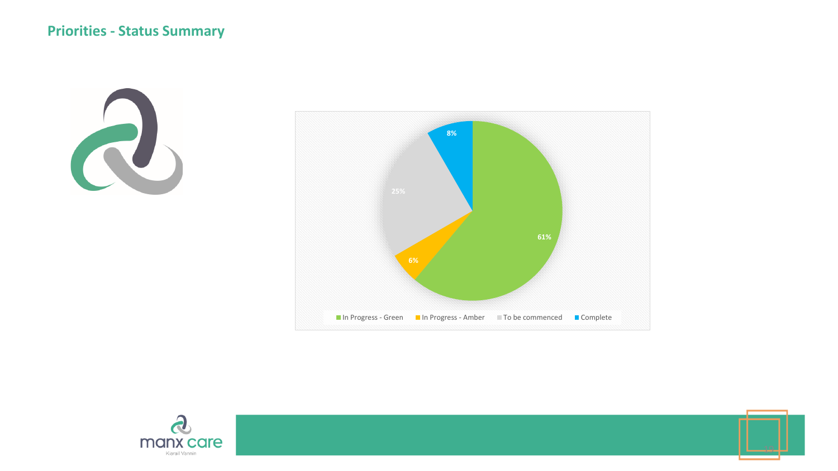





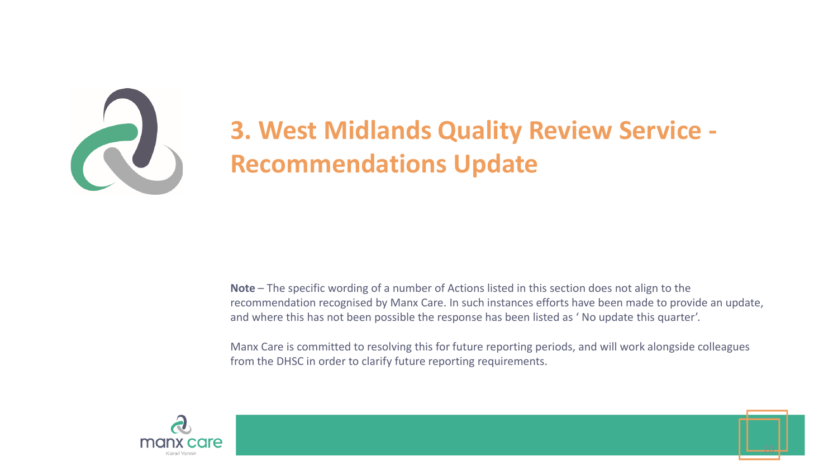

# **3. West Midlands Quality Review Service - Recommendations Update**

**Note** – The specific wording of a number of Actions listed in this section does not align to the recommendation recognised by Manx Care. In such instances efforts have been made to provide an update, and where this has not been possible the response has been listed as ' No update this quarter'.

Manx Care is committed to resolving this for future reporting periods, and will work alongside colleagues from the DHSC in order to clarify future reporting requirements.



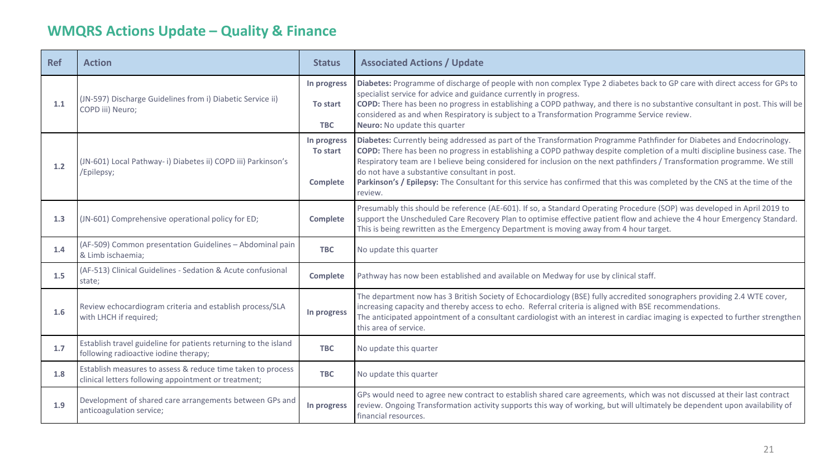# **WMQRS Actions Update – Quality & Finance**

| <b>Ref</b> | <b>Action</b>                                                                                                       | <b>Status</b>                              | <b>Associated Actions / Update</b>                                                                                                                                                                                                                                                                                                                                                                                                                                                                                                                                             |
|------------|---------------------------------------------------------------------------------------------------------------------|--------------------------------------------|--------------------------------------------------------------------------------------------------------------------------------------------------------------------------------------------------------------------------------------------------------------------------------------------------------------------------------------------------------------------------------------------------------------------------------------------------------------------------------------------------------------------------------------------------------------------------------|
| 1.1        | (JN-597) Discharge Guidelines from i) Diabetic Service ii)<br>COPD iii) Neuro;                                      | In progress<br>To start<br><b>TBC</b>      | Diabetes: Programme of discharge of people with non complex Type 2 diabetes back to GP care with direct access for GPs to<br>specialist service for advice and guidance currently in progress.<br>COPD: There has been no progress in establishing a COPD pathway, and there is no substantive consultant in post. This will be<br>considered as and when Respiratory is subject to a Transformation Programme Service review.<br>Neuro: No update this quarter                                                                                                                |
| 1.2        | (JN-601) Local Pathway-i) Diabetes ii) COPD iii) Parkinson's<br>/Epilepsy;                                          | In progress<br>To start<br><b>Complete</b> | Diabetes: Currently being addressed as part of the Transformation Programme Pathfinder for Diabetes and Endocrinology.<br>COPD: There has been no progress in establishing a COPD pathway despite completion of a multi discipline business case. The<br>Respiratory team are I believe being considered for inclusion on the next pathfinders / Transformation programme. We still<br>do not have a substantive consultant in post.<br>Parkinson's / Epilepsy: The Consultant for this service has confirmed that this was completed by the CNS at the time of the<br>review. |
| 1.3        | (JN-601) Comprehensive operational policy for ED;                                                                   | <b>Complete</b>                            | Presumably this should be reference (AE-601). If so, a Standard Operating Procedure (SOP) was developed in April 2019 to<br>support the Unscheduled Care Recovery Plan to optimise effective patient flow and achieve the 4 hour Emergency Standard.<br>This is being rewritten as the Emergency Department is moving away from 4 hour target.                                                                                                                                                                                                                                 |
| 1.4        | (AF-509) Common presentation Guidelines - Abdominal pain<br>& Limb ischaemia;                                       | <b>TBC</b>                                 | No update this quarter                                                                                                                                                                                                                                                                                                                                                                                                                                                                                                                                                         |
| 1.5        | (AF-513) Clinical Guidelines - Sedation & Acute confusional<br>state;                                               | <b>Complete</b>                            | Pathway has now been established and available on Medway for use by clinical staff.                                                                                                                                                                                                                                                                                                                                                                                                                                                                                            |
| 1.6        | Review echocardiogram criteria and establish process/SLA<br>with LHCH if required;                                  | In progress                                | The department now has 3 British Society of Echocardiology (BSE) fully accredited sonographers providing 2.4 WTE cover,<br>increasing capacity and thereby access to echo. Referral criteria is aligned with BSE recommendations.<br>The anticipated appointment of a consultant cardiologist with an interest in cardiac imaging is expected to further strengthen<br>this area of service.                                                                                                                                                                                   |
| 1.7        | Establish travel guideline for patients returning to the island<br>following radioactive iodine therapy;            | <b>TBC</b>                                 | No update this quarter                                                                                                                                                                                                                                                                                                                                                                                                                                                                                                                                                         |
| 1.8        | Establish measures to assess & reduce time taken to process<br>clinical letters following appointment or treatment; | <b>TBC</b>                                 | No update this quarter                                                                                                                                                                                                                                                                                                                                                                                                                                                                                                                                                         |
| 1.9        | Development of shared care arrangements between GPs and<br>anticoagulation service;                                 | In progress                                | GPs would need to agree new contract to establish shared care agreements, which was not discussed at their last contract<br>review. Ongoing Transformation activity supports this way of working, but will ultimately be dependent upon availability of<br>financial resources.                                                                                                                                                                                                                                                                                                |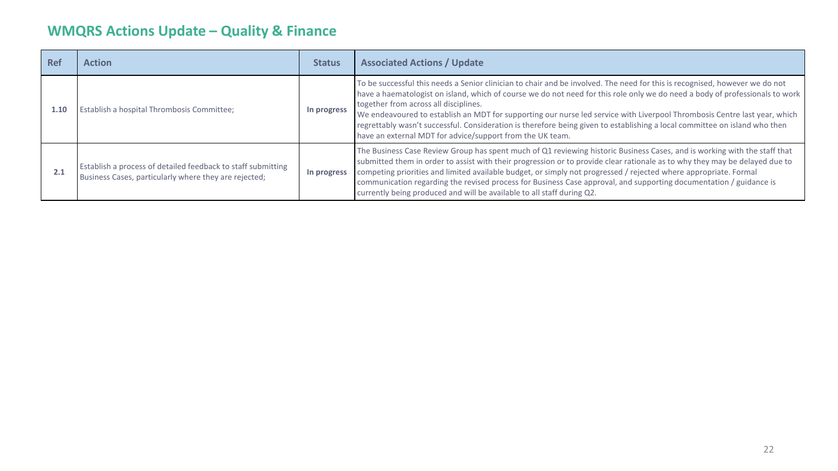# **WMQRS Actions Update – Quality & Finance**

| <b>Ref</b> | <b>Action</b>                                                                                                         | <b>Status</b> | <b>Associated Actions / Update</b>                                                                                                                                                                                                                                                                                                                                                                                                                                                                                                                                                                                           |
|------------|-----------------------------------------------------------------------------------------------------------------------|---------------|------------------------------------------------------------------------------------------------------------------------------------------------------------------------------------------------------------------------------------------------------------------------------------------------------------------------------------------------------------------------------------------------------------------------------------------------------------------------------------------------------------------------------------------------------------------------------------------------------------------------------|
| 1.10       | Establish a hospital Thrombosis Committee;                                                                            | In progress   | To be successful this needs a Senior clinician to chair and be involved. The need for this is recognised, however we do not<br>have a haematologist on island, which of course we do not need for this role only we do need a body of professionals to work<br>together from across all disciplines.<br>We endeavoured to establish an MDT for supporting our nurse led service with Liverpool Thrombosis Centre last year, which<br>regrettably wasn't successful. Consideration is therefore being given to establishing a local committee on island who then<br>have an external MDT for advice/support from the UK team. |
| 2.1        | Establish a process of detailed feedback to staff submitting<br>Business Cases, particularly where they are rejected; | In progress   | The Business Case Review Group has spent much of Q1 reviewing historic Business Cases, and is working with the staff that<br>submitted them in order to assist with their progression or to provide clear rationale as to why they may be delayed due to<br>competing priorities and limited available budget, or simply not progressed / rejected where appropriate. Formal<br>communication regarding the revised process for Business Case approval, and supporting documentation / guidance is<br>currently being produced and will be available to all staff during Q2.                                                 |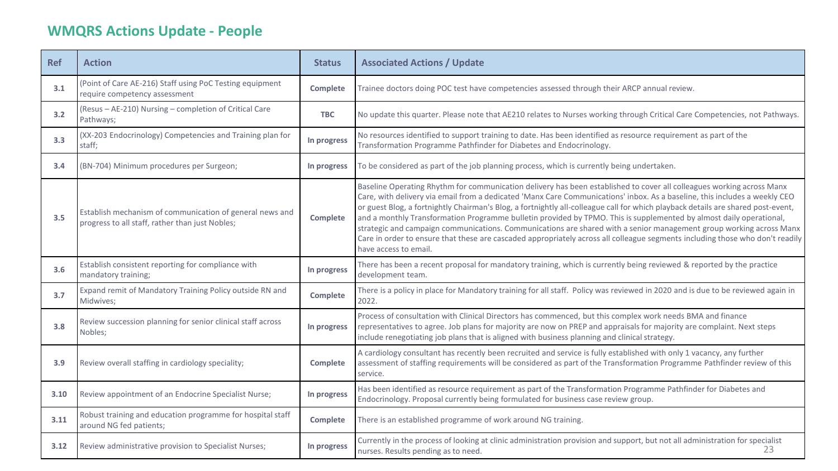# **WMQRS Actions Update - People**

| <b>Ref</b> | <b>Action</b>                                                                                               | <b>Status</b>   | <b>Associated Actions / Update</b>                                                                                                                                                                                                                                                                                                                                                                                                                                                                                                                                                                                                                                                                                                                                                              |
|------------|-------------------------------------------------------------------------------------------------------------|-----------------|-------------------------------------------------------------------------------------------------------------------------------------------------------------------------------------------------------------------------------------------------------------------------------------------------------------------------------------------------------------------------------------------------------------------------------------------------------------------------------------------------------------------------------------------------------------------------------------------------------------------------------------------------------------------------------------------------------------------------------------------------------------------------------------------------|
| 3.1        | (Point of Care AE-216) Staff using PoC Testing equipment<br>require competency assessment                   | <b>Complete</b> | Trainee doctors doing POC test have competencies assessed through their ARCP annual review.                                                                                                                                                                                                                                                                                                                                                                                                                                                                                                                                                                                                                                                                                                     |
| 3.2        | (Resus - AE-210) Nursing - completion of Critical Care<br>Pathways;                                         | <b>TBC</b>      | No update this quarter. Please note that AE210 relates to Nurses working through Critical Care Competencies, not Pathways.                                                                                                                                                                                                                                                                                                                                                                                                                                                                                                                                                                                                                                                                      |
| 3.3        | (XX-203 Endocrinology) Competencies and Training plan for<br>staff;                                         | In progress     | No resources identified to support training to date. Has been identified as resource requirement as part of the<br>Transformation Programme Pathfinder for Diabetes and Endocrinology.                                                                                                                                                                                                                                                                                                                                                                                                                                                                                                                                                                                                          |
| 3.4        | (BN-704) Minimum procedures per Surgeon;                                                                    | In progress     | To be considered as part of the job planning process, which is currently being undertaken.                                                                                                                                                                                                                                                                                                                                                                                                                                                                                                                                                                                                                                                                                                      |
| 3.5        | Establish mechanism of communication of general news and<br>progress to all staff, rather than just Nobles; | <b>Complete</b> | Baseline Operating Rhythm for communication delivery has been established to cover all colleagues working across Manx<br>Care, with delivery via email from a dedicated 'Manx Care Communications' inbox. As a baseline, this includes a weekly CEO<br>or guest Blog, a fortnightly Chairman's Blog, a fortnightly all-colleague call for which playback details are shared post-event,<br>and a monthly Transformation Programme bulletin provided by TPMO. This is supplemented by almost daily operational,<br>strategic and campaign communications. Communications are shared with a senior management group working across Manx<br>Care in order to ensure that these are cascaded appropriately across all colleague segments including those who don't readily<br>have access to email. |
| 3.6        | Establish consistent reporting for compliance with<br>mandatory training;                                   | In progress     | There has been a recent proposal for mandatory training, which is currently being reviewed & reported by the practice<br>development team.                                                                                                                                                                                                                                                                                                                                                                                                                                                                                                                                                                                                                                                      |
| 3.7        | Expand remit of Mandatory Training Policy outside RN and<br>Midwives;                                       | <b>Complete</b> | There is a policy in place for Mandatory training for all staff. Policy was reviewed in 2020 and is due to be reviewed again in<br>2022.                                                                                                                                                                                                                                                                                                                                                                                                                                                                                                                                                                                                                                                        |
| 3.8        | Review succession planning for senior clinical staff across<br>Nobles;                                      | In progress     | Process of consultation with Clinical Directors has commenced, but this complex work needs BMA and finance<br>representatives to agree. Job plans for majority are now on PREP and appraisals for majority are complaint. Next steps<br>include renegotiating job plans that is aligned with business planning and clinical strategy.                                                                                                                                                                                                                                                                                                                                                                                                                                                           |
| 3.9        | Review overall staffing in cardiology speciality;                                                           | Complete        | A cardiology consultant has recently been recruited and service is fully established with only 1 vacancy, any further<br>assessment of staffing requirements will be considered as part of the Transformation Programme Pathfinder review of this<br>service.                                                                                                                                                                                                                                                                                                                                                                                                                                                                                                                                   |
| 3.10       | Review appointment of an Endocrine Specialist Nurse;                                                        | In progress     | Has been identified as resource requirement as part of the Transformation Programme Pathfinder for Diabetes and<br>Endocrinology. Proposal currently being formulated for business case review group.                                                                                                                                                                                                                                                                                                                                                                                                                                                                                                                                                                                           |
| 3.11       | Robust training and education programme for hospital staff<br>around NG fed patients;                       | <b>Complete</b> | There is an established programme of work around NG training.                                                                                                                                                                                                                                                                                                                                                                                                                                                                                                                                                                                                                                                                                                                                   |
| 3.12       | Review administrative provision to Specialist Nurses;                                                       | In progress     | Currently in the process of looking at clinic administration provision and support, but not all administration for specialist<br>23<br>nurses. Results pending as to need.                                                                                                                                                                                                                                                                                                                                                                                                                                                                                                                                                                                                                      |